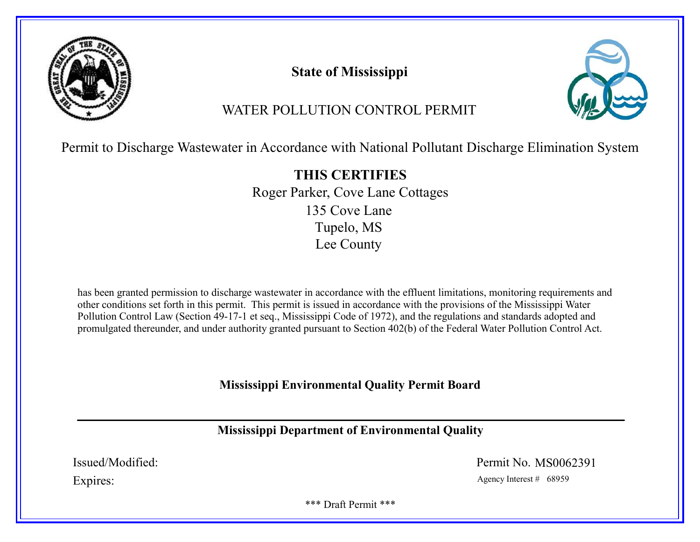

# State of Mississippi



# WATER POLLUTION CONTROL PERMIT

Permit to Discharge Wastewater in Accordance with National Pollutant Discharge Elimination System

THIS CERTIFIES Roger Parker, Cove Lane Cottages 135 Cove Lane Tupelo, MS Lee County

has been granted permission to discharge wastewater in accordance with the effluent limitations, monitoring requirements and other conditions set forth in this permit. This permit is issued in accordance with the provisions of the Mississippi Water Pollution Control Law (Section 49-17-1 et seq., Mississippi Code of 1972), and the regulations and standards adopted and promulgated thereunder, and under authority granted pursuant to Section 402(b) of the Federal Water Pollution Control Act.

Mississippi Environmental Quality Permit Board

Mississippi Department of Environmental Quality

Issued/Modified: Permit No. MS0062391

Expires: Agency Interest # 68959

\*\*\* Draft Permit \*\*\*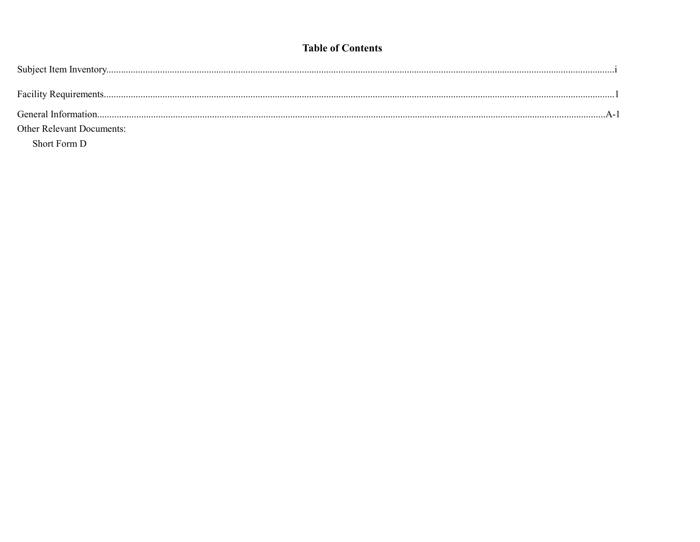# **Table of Contents**

| <b>Other Relevant Documents:</b> |  |
|----------------------------------|--|
| Short Form D                     |  |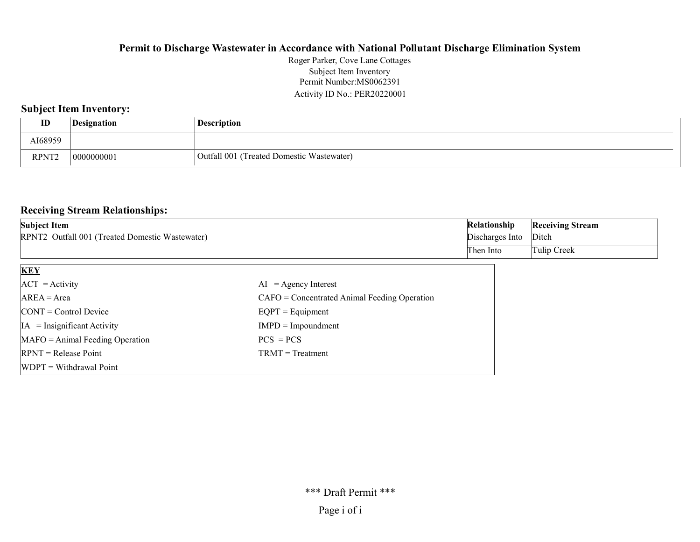## Permit Number:MS0062391 Activity ID No.: PER20220001 Roger Parker, Cove Lane Cottages Subject Item Inventory

# Subject Item Inventory:

| ID                | Designation | <b>Description</b>                           |
|-------------------|-------------|----------------------------------------------|
| AI68959           |             |                                              |
| RPNT <sup>o</sup> | '0000000001 | (Treated Domestic Wastewater)<br>Outfall 001 |

# Receiving Stream Relationships:

| <b>Subject Item</b>                                              | Relationship    | <b>Receiving Stream</b> |
|------------------------------------------------------------------|-----------------|-------------------------|
| : Outfall 001 (Treated Domestic Wastewater)<br>RPNT <sub>2</sub> | Discharges Into | Ditch                   |
|                                                                  | Then Into       | Tulip Creek             |

| <b>KEY</b>                            |                                                |
|---------------------------------------|------------------------------------------------|
| $ACT = Activity$                      | $AI = Agency Interest$                         |
| $AREA = Area$                         | $CAFO =$ Concentrated Animal Feeding Operation |
| $\text{CONT} = \text{Control Device}$ | $EQPT = Equipment$                             |
| $IA = Insignificant Activity$         | $IMPD = Impoundment$                           |
| $MAFO = Animal Feeding Operation$     | $PCS = PCs$                                    |
| $RPNT = Release Point$                | $TRMT = Treatment$                             |
| $WDPT = Without$ Withdrawal Point     |                                                |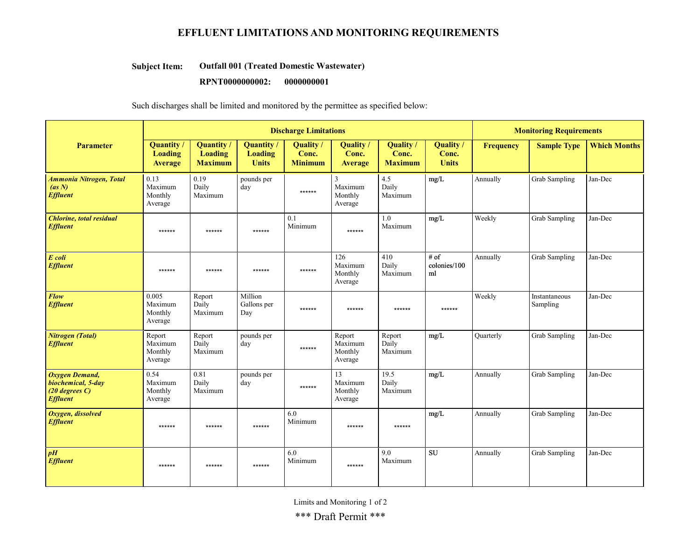# EFFLUENT LIMITATIONS AND MONITORING REQUIREMENTS

#### Outfall 001 (Treated Domestic Wastewater) Subject Item:

#### RPNT0000000002: 0000000001

Such discharges shall be limited and monitored by the permittee as specified below:

|                                                                                | <b>Discharge Limitations</b>                   |                                                       |                                             |                                      |                                         |                                    |                                    | <b>Monitoring Requirements</b> |                           |                     |
|--------------------------------------------------------------------------------|------------------------------------------------|-------------------------------------------------------|---------------------------------------------|--------------------------------------|-----------------------------------------|------------------------------------|------------------------------------|--------------------------------|---------------------------|---------------------|
| <b>Parameter</b>                                                               | <b>Quantity</b> /<br><b>Loading</b><br>Average | <b>Quantity</b> /<br><b>Loading</b><br><b>Maximum</b> | Quantity/<br><b>Loading</b><br><b>Units</b> | Quality /<br>Conc.<br><b>Minimum</b> | <b>Quality</b><br>Conc.<br>Average      | Quality<br>Conc.<br><b>Maximum</b> | Quality /<br>Conc.<br><b>Units</b> | <b>Frequency</b>               | <b>Sample Type</b>        | <b>Which Months</b> |
| <b>Ammonia Nitrogen, Total</b><br>(as N)<br><b>Effluent</b>                    | 0.13<br>Maximum<br>Monthly<br>Average          | 0.19<br>Daily<br>Maximum                              | pounds per<br>day                           | ******                               | 3<br>Maximum<br>Monthly<br>Average      | 4.5<br>Daily<br>Maximum            | mg/L                               | Annually                       | Grab Sampling             | Jan-Dec             |
| <b>Chlorine, total residual</b><br><b>Effluent</b>                             | ******                                         | ******                                                | ******                                      | 0.1<br>Minimum                       | ******                                  | $1.0\,$<br>Maximum                 | mg/L                               | Weekly                         | Grab Sampling             | Jan-Dec             |
| E coli<br><b>Effluent</b>                                                      | ******                                         | ******                                                | ******                                      | ******                               | 126<br>Maximum<br>Monthly<br>Average    | 410<br>Daily<br>Maximum            | # of<br>colonies/100<br>ml         | Annually                       | <b>Grab Sampling</b>      | Jan-Dec             |
| Flow<br><b>Effluent</b>                                                        | 0.005<br>Maximum<br>Monthly<br>Average         | Report<br>Daily<br>Maximum                            | Million<br>Gallons per<br>Day               | ******                               | ******                                  | ******                             | ******                             | Weekly                         | Instantaneous<br>Sampling | Jan-Dec             |
| <b>Nitrogen</b> (Total)<br><b>Effluent</b>                                     | Report<br>Maximum<br>Monthly<br>Average        | Report<br>Daily<br>Maximum                            | pounds per<br>day                           | ******                               | Report<br>Maximum<br>Monthly<br>Average | Report<br>Daily<br>Maximum         | mg/L                               | <b>Quarterly</b>               | Grab Sampling             | Jan-Dec             |
| Oxygen Demand,<br>biochemical, 5-day<br>$(20$ degrees $C$ )<br><b>Effluent</b> | 0.54<br>Maximum<br>Monthly<br>Average          | 0.81<br>Daily<br>Maximum                              | pounds per<br>day                           | ******                               | 13<br>Maximum<br>Monthly<br>Average     | 19.5<br>Daily<br>Maximum           | mg/L                               | Annually                       | Grab Sampling             | Jan-Dec             |
| Oxygen, dissolved<br><b>Effluent</b>                                           | ******                                         | ******                                                | ******                                      | 6.0<br>Minimum                       | ******                                  | ******                             | mg/L                               | Annually                       | Grab Sampling             | Jan-Dec             |
| $\boldsymbol{p}$ H<br><b>Effluent</b>                                          | $******$                                       | ******                                                | ******                                      | 6.0<br>Minimum                       | ******                                  | 9.0<br>Maximum                     | <b>SU</b>                          | Annually                       | Grab Sampling             | Jan-Dec             |

Limits and Monitoring 1 of 2

\*\*\* Draft Permit \*\*\*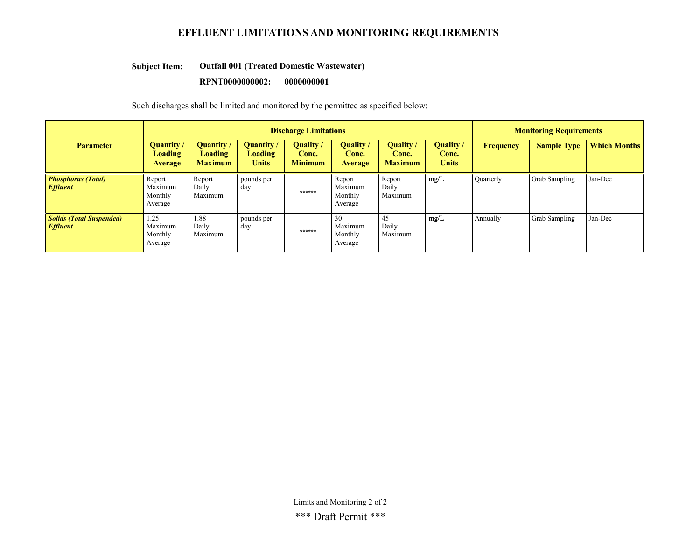# EFFLUENT LIMITATIONS AND MONITORING REQUIREMENTS

#### Outfall 001 (Treated Domestic Wastewater) Subject Item:

#### RPNT0000000002: 0000000001

Such discharges shall be limited and monitored by the permittee as specified below:

|                                                    | <b>Discharge Limitations</b>                          |                                                       |                                                     |                                           |                                           |                                           |                                    | <b>Monitoring Requirements</b> |                    |                     |
|----------------------------------------------------|-------------------------------------------------------|-------------------------------------------------------|-----------------------------------------------------|-------------------------------------------|-------------------------------------------|-------------------------------------------|------------------------------------|--------------------------------|--------------------|---------------------|
| <b>Parameter</b>                                   | <b>Quantity /</b><br><b>Loading</b><br><b>Average</b> | <b>Quantity</b> /<br><b>Loading</b><br><b>Maximum</b> | <b>Quantity</b> /<br><b>Loading</b><br><b>Units</b> | <b>Ouality</b><br>Conc.<br><b>Minimum</b> | <b>Ouality</b><br>Conc.<br><b>Average</b> | <b>Ouality</b><br>Conc.<br><b>Maximum</b> | Quality /<br>Conc.<br><b>Units</b> | Frequency                      | <b>Sample Type</b> | <b>Which Months</b> |
| <b>Phosphorus (Total)</b><br><b>Effluent</b>       | Report<br>Maximum<br>Monthly<br>Average               | Report<br>Daily<br>Maximum                            | pounds per<br>day                                   | ******                                    | Report<br>Maximum<br>Monthly<br>Average   | Report<br>Daily<br>Maximum                | mg/L                               | <b>Quarterly</b>               | Grab Sampling      | Jan-Dec             |
| <b>Solids (Total Suspended)</b><br><b>Effluent</b> | 1.25<br>Maximum<br>Monthly<br>Average                 | 1.88<br>Daily<br>Maximum                              | pounds per<br>day                                   | ******                                    | 30<br>Maximum<br>Monthly<br>Average       | 45<br>Daily<br>Maximum                    | mg/L                               | Annually                       | Grab Sampling      | Jan-Dec             |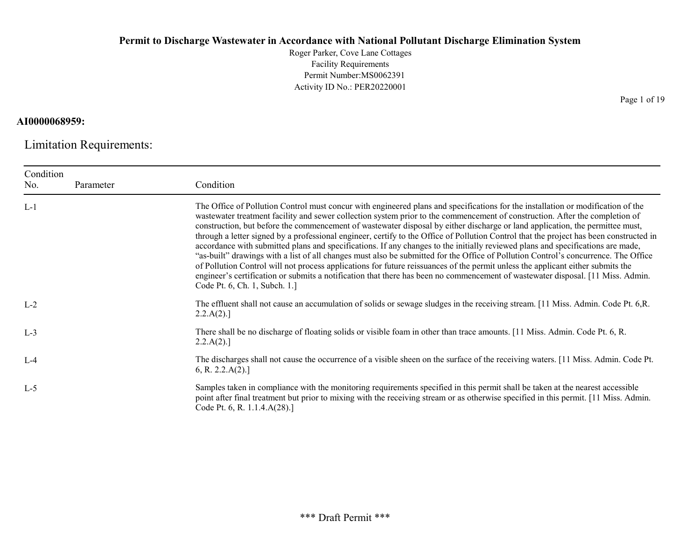Roger Parker, Cove Lane Cottages Facility Requirements Permit Number:MS0062391 Activity ID No.: PER20220001

# AI0000068959:

Limitation Requirements:

| Condition |           |                                                                                                                                                                                                                                                                                                                                                                                                                                                                                                                                                                                                                                                                                                                                                                                                                                                                                                                                                                                                                                                                                                                               |
|-----------|-----------|-------------------------------------------------------------------------------------------------------------------------------------------------------------------------------------------------------------------------------------------------------------------------------------------------------------------------------------------------------------------------------------------------------------------------------------------------------------------------------------------------------------------------------------------------------------------------------------------------------------------------------------------------------------------------------------------------------------------------------------------------------------------------------------------------------------------------------------------------------------------------------------------------------------------------------------------------------------------------------------------------------------------------------------------------------------------------------------------------------------------------------|
| No.       | Parameter | Condition                                                                                                                                                                                                                                                                                                                                                                                                                                                                                                                                                                                                                                                                                                                                                                                                                                                                                                                                                                                                                                                                                                                     |
| $L-1$     |           | The Office of Pollution Control must concur with engineered plans and specifications for the installation or modification of the<br>wastewater treatment facility and sewer collection system prior to the commencement of construction. After the completion of<br>construction, but before the commencement of wastewater disposal by either discharge or land application, the permittee must,<br>through a letter signed by a professional engineer, certify to the Office of Pollution Control that the project has been constructed in<br>accordance with submitted plans and specifications. If any changes to the initially reviewed plans and specifications are made,<br>"as-built" drawings with a list of all changes must also be submitted for the Office of Pollution Control's concurrence. The Office<br>of Pollution Control will not process applications for future reissuances of the permit unless the applicant either submits the<br>engineer's certification or submits a notification that there has been no commencement of wastewater disposal. [11 Miss. Admin.<br>Code Pt. 6, Ch. 1, Subch. 1.] |
| $L-2$     |           | The effluent shall not cause an accumulation of solids or sewage sludges in the receiving stream. [11 Miss. Admin. Code Pt. 6,R.<br>2.2.A(2).                                                                                                                                                                                                                                                                                                                                                                                                                                                                                                                                                                                                                                                                                                                                                                                                                                                                                                                                                                                 |
| $L-3$     |           | There shall be no discharge of floating solids or visible foam in other than trace amounts. [11 Miss. Admin. Code Pt. 6, R.<br>2.2.A(2).                                                                                                                                                                                                                                                                                                                                                                                                                                                                                                                                                                                                                                                                                                                                                                                                                                                                                                                                                                                      |
| $L-4$     |           | The discharges shall not cause the occurrence of a visible sheen on the surface of the receiving waters. [11 Miss. Admin. Code Pt.<br>6, R. 2.2.A(2).                                                                                                                                                                                                                                                                                                                                                                                                                                                                                                                                                                                                                                                                                                                                                                                                                                                                                                                                                                         |
| $L-5$     |           | Samples taken in compliance with the monitoring requirements specified in this permit shall be taken at the nearest accessible<br>point after final treatment but prior to mixing with the receiving stream or as otherwise specified in this permit. [11 Miss. Admin.<br>Code Pt. 6, R. 1.1.4.A(28).]                                                                                                                                                                                                                                                                                                                                                                                                                                                                                                                                                                                                                                                                                                                                                                                                                        |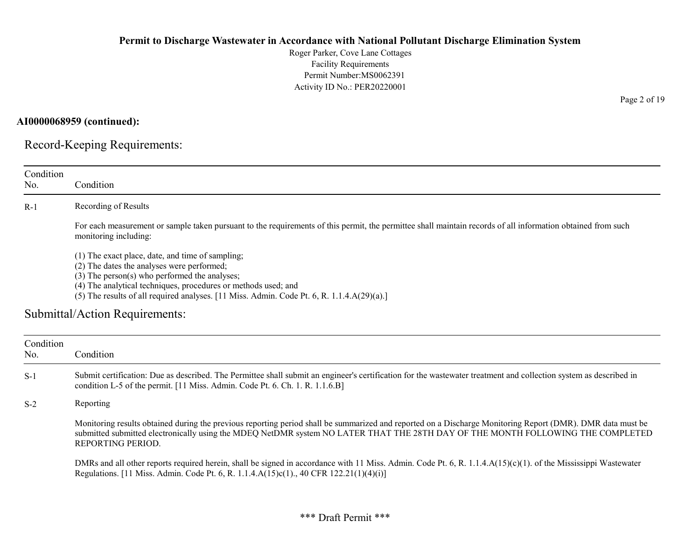Roger Parker, Cove Lane Cottages Facility Requirements Permit Number:MS0062391 Activity ID No.: PER20220001

AI0000068959 (continued):

Record-Keeping Requirements:

| Condition        |                                                                                                                                                                                                                                                                                                                    |
|------------------|--------------------------------------------------------------------------------------------------------------------------------------------------------------------------------------------------------------------------------------------------------------------------------------------------------------------|
| No.              | Condition                                                                                                                                                                                                                                                                                                          |
| $R-1$            | Recording of Results                                                                                                                                                                                                                                                                                               |
|                  | For each measurement or sample taken pursuant to the requirements of this permit, the permittee shall maintain records of all information obtained from such<br>monitoring including:                                                                                                                              |
|                  | (1) The exact place, date, and time of sampling;<br>(2) The dates the analyses were performed;<br>(3) The person(s) who performed the analyses;<br>(4) The analytical techniques, procedures or methods used; and                                                                                                  |
|                  | (5) The results of all required analyses. [11 Miss. Admin. Code Pt. 6, R. $1.1.4.A(29)(a).$ ]                                                                                                                                                                                                                      |
|                  | Submittal/Action Requirements:                                                                                                                                                                                                                                                                                     |
| Condition<br>No. | Condition                                                                                                                                                                                                                                                                                                          |
| $S-1$            | Submit certification: Due as described. The Permittee shall submit an engineer's certification for the wastewater treatment and collection system as described in<br>condition L-5 of the permit. [11 Miss. Admin. Code Pt. 6. Ch. 1. R. 1.1.6.B]                                                                  |
| $S-2$            | Reporting                                                                                                                                                                                                                                                                                                          |
|                  | Monitoring results obtained during the previous reporting period shall be summarized and reported on a Discharge Monitoring Report (DMR). DMR data must be<br>submitted submitted electronically using the MDEQ NetDMR system NO LATER THAT THE 28TH DAY OF THE MONTH FOLLOWING THE COMPLETED<br>REPORTING PERIOD. |
|                  | DMRs and all other reports required herein, shall be signed in accordance with 11 Miss. Admin. Code Pt. 6, R. 1.1.4.A(15)(c)(1). of the Mississippi Wastewater<br>Regulations. [11 Miss. Admin. Code Pt. 6, R. 1.1.4.A(15)c(1)., 40 CFR 122.21(1)(4)(i)]                                                           |

Page 2 of 19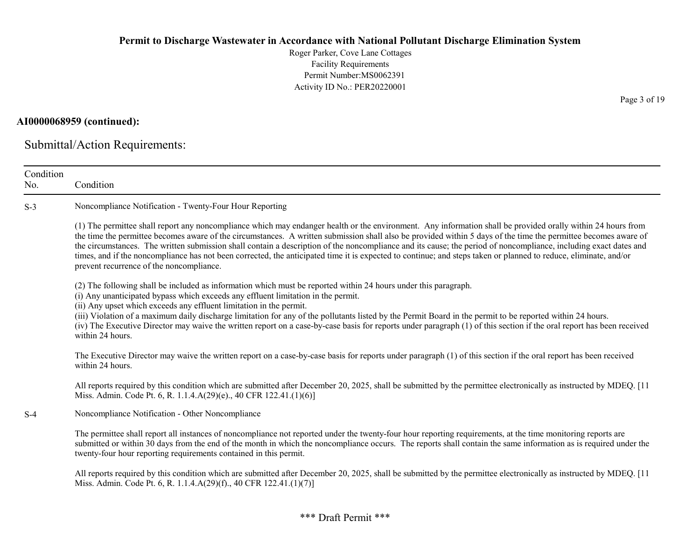Roger Parker, Cove Lane Cottages Facility Requirements Permit Number:MS0062391 Activity ID No.: PER20220001

# AI0000068959 (continued):

Submittal/Action Requirements:

| Condition<br>No. | Condition                                                                                                                                                                                                                                                                                                                                                                                                                                                                                                                                                                                                                                                                                                           |
|------------------|---------------------------------------------------------------------------------------------------------------------------------------------------------------------------------------------------------------------------------------------------------------------------------------------------------------------------------------------------------------------------------------------------------------------------------------------------------------------------------------------------------------------------------------------------------------------------------------------------------------------------------------------------------------------------------------------------------------------|
| $S-3$            | Noncompliance Notification - Twenty-Four Hour Reporting                                                                                                                                                                                                                                                                                                                                                                                                                                                                                                                                                                                                                                                             |
|                  | (1) The permittee shall report any noncompliance which may endanger health or the environment. Any information shall be provided orally within 24 hours from<br>the time the permittee becomes aware of the circumstances. A written submission shall also be provided within 5 days of the time the permittee becomes aware of<br>the circumstances. The written submission shall contain a description of the noncompliance and its cause; the period of noncompliance, including exact dates and<br>times, and if the noncompliance has not been corrected, the anticipated time it is expected to continue; and steps taken or planned to reduce, eliminate, and/or<br>prevent recurrence of the noncompliance. |
|                  | (2) The following shall be included as information which must be reported within 24 hours under this paragraph.<br>(i) Any unanticipated bypass which exceeds any effluent limitation in the permit.<br>(ii) Any upset which exceeds any effluent limitation in the permit.<br>(iii) Violation of a maximum daily discharge limitation for any of the pollutants listed by the Permit Board in the permit to be reported within 24 hours.<br>(iv) The Executive Director may waive the written report on a case-by-case basis for reports under paragraph (1) of this section if the oral report has been received<br>within 24 hours.                                                                              |
|                  | The Executive Director may waive the written report on a case-by-case basis for reports under paragraph (1) of this section if the oral report has been received<br>within 24 hours.                                                                                                                                                                                                                                                                                                                                                                                                                                                                                                                                |
|                  | All reports required by this condition which are submitted after December 20, 2025, shall be submitted by the permittee electronically as instructed by MDEQ. [11<br>Miss. Admin. Code Pt. 6, R. 1.1.4.A(29)(e)., 40 CFR 122.41.(1)(6)]                                                                                                                                                                                                                                                                                                                                                                                                                                                                             |
| $S-4$            | Noncompliance Notification - Other Noncompliance                                                                                                                                                                                                                                                                                                                                                                                                                                                                                                                                                                                                                                                                    |
|                  | The permittee shall report all instances of noncompliance not reported under the twenty-four hour reporting requirements, at the time monitoring reports are<br>submitted or within 30 days from the end of the month in which the noncompliance occurs. The reports shall contain the same information as is required under the<br>twenty-four hour reporting requirements contained in this permit.                                                                                                                                                                                                                                                                                                               |
|                  | All reports required by this condition which are submitted after December 20, 2025, shall be submitted by the permittee electronically as instructed by MDEQ. [11]<br>Miss. Admin. Code Pt. 6, R. 1.1.4.A(29)(f)., 40 CFR 122.41.(1)(7)]                                                                                                                                                                                                                                                                                                                                                                                                                                                                            |

\*\*\* Draft Permit \*\*\*

Page 3 of 19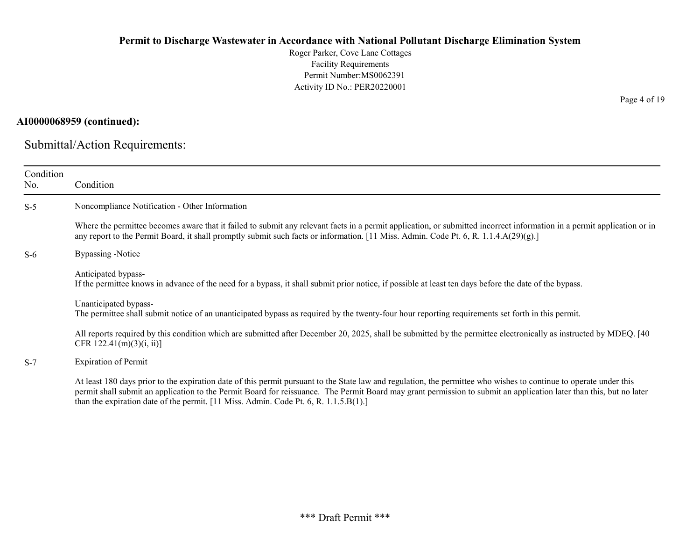Roger Parker, Cove Lane Cottages Facility Requirements Permit Number:MS0062391 Activity ID No.: PER20220001

# AI0000068959 (continued):

Submittal/Action Requirements:

| Condition<br>No. | Condition                                                                                                                                                                                                                                                                                                                                                                                                                            |
|------------------|--------------------------------------------------------------------------------------------------------------------------------------------------------------------------------------------------------------------------------------------------------------------------------------------------------------------------------------------------------------------------------------------------------------------------------------|
| $S-5$            | Noncompliance Notification - Other Information                                                                                                                                                                                                                                                                                                                                                                                       |
|                  | Where the permittee becomes aware that it failed to submit any relevant facts in a permit application, or submitted incorrect information in a permit application or in<br>any report to the Permit Board, it shall promptly submit such facts or information. [11 Miss. Admin. Code Pt. 6, R. 1.1.4.A(29)(g).]                                                                                                                      |
| $S-6$            | Bypassing -Notice                                                                                                                                                                                                                                                                                                                                                                                                                    |
|                  | Anticipated bypass-<br>If the permittee knows in advance of the need for a bypass, it shall submit prior notice, if possible at least ten days before the date of the bypass.                                                                                                                                                                                                                                                        |
|                  | Unanticipated bypass-<br>The permittee shall submit notice of an unanticipated bypass as required by the twenty-four hour reporting requirements set forth in this permit.                                                                                                                                                                                                                                                           |
|                  | All reports required by this condition which are submitted after December 20, 2025, shall be submitted by the permittee electronically as instructed by MDEQ. [40]<br>CFR 122.41(m)(3)(i, ii)]                                                                                                                                                                                                                                       |
| $S-7$            | <b>Expiration of Permit</b>                                                                                                                                                                                                                                                                                                                                                                                                          |
|                  | At least 180 days prior to the expiration date of this permit pursuant to the State law and regulation, the permittee who wishes to continue to operate under this<br>permit shall submit an application to the Permit Board for reissuance. The Permit Board may grant permission to submit an application later than this, but no later<br>than the expiration date of the permit. [11 Miss. Admin. Code Pt. 6, R. $1.1.5.B(1).$ ] |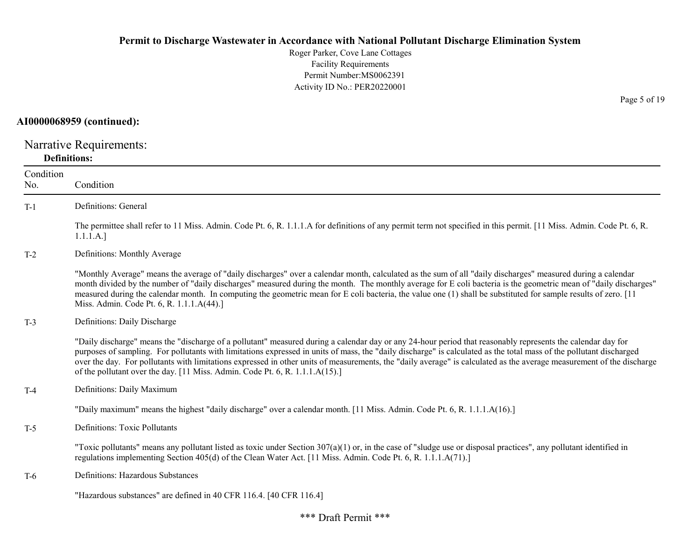# AI0000068959 (continued):

Narrative Requirements: Definitions:

| Condition<br>No. | Condition                                                                                                                                                                                                                                                                                                                                                                                                                                                                                                                                                                                   |
|------------------|---------------------------------------------------------------------------------------------------------------------------------------------------------------------------------------------------------------------------------------------------------------------------------------------------------------------------------------------------------------------------------------------------------------------------------------------------------------------------------------------------------------------------------------------------------------------------------------------|
| $T-1$            | Definitions: General                                                                                                                                                                                                                                                                                                                                                                                                                                                                                                                                                                        |
|                  | The permittee shall refer to 11 Miss. Admin. Code Pt. 6, R. 1.1.1.A for definitions of any permit term not specified in this permit. [11 Miss. Admin. Code Pt. 6, R.<br>1.1.1.A.]                                                                                                                                                                                                                                                                                                                                                                                                           |
| $T-2$            | Definitions: Monthly Average                                                                                                                                                                                                                                                                                                                                                                                                                                                                                                                                                                |
|                  | "Monthly Average" means the average of "daily discharges" over a calendar month, calculated as the sum of all "daily discharges" measured during a calendar<br>month divided by the number of "daily discharges" measured during the month. The monthly average for E coli bacteria is the geometric mean of "daily discharges"<br>measured during the calendar month. In computing the geometric mean for E coli bacteria, the value one (1) shall be substituted for sample results of zero. [11]<br>Miss. Admin. Code Pt. 6, R. 1.1.1.A(44).]                                            |
| $T-3$            | Definitions: Daily Discharge                                                                                                                                                                                                                                                                                                                                                                                                                                                                                                                                                                |
|                  | "Daily discharge" means the "discharge of a pollutant" measured during a calendar day or any 24-hour period that reasonably represents the calendar day for<br>purposes of sampling. For pollutants with limitations expressed in units of mass, the "daily discharge" is calculated as the total mass of the pollutant discharged<br>over the day. For pollutants with limitations expressed in other units of measurements, the "daily average" is calculated as the average measurement of the discharge<br>of the pollutant over the day. [11 Miss. Admin. Code Pt. 6, R. 1.1.1.A(15).] |
| $T-4$            | Definitions: Daily Maximum                                                                                                                                                                                                                                                                                                                                                                                                                                                                                                                                                                  |
|                  | "Daily maximum" means the highest "daily discharge" over a calendar month. [11 Miss. Admin. Code Pt. 6, R. 1.1.1.A(16).]                                                                                                                                                                                                                                                                                                                                                                                                                                                                    |
| $T-5$            | Definitions: Toxic Pollutants                                                                                                                                                                                                                                                                                                                                                                                                                                                                                                                                                               |
|                  | "Toxic pollutants" means any pollutant listed as toxic under Section $307(a)(1)$ or, in the case of "sludge use or disposal practices", any pollutant identified in<br>regulations implementing Section 405(d) of the Clean Water Act. [11 Miss. Admin. Code Pt. 6, R. 1.1.1.A(71).]                                                                                                                                                                                                                                                                                                        |
| T-6              | Definitions: Hazardous Substances                                                                                                                                                                                                                                                                                                                                                                                                                                                                                                                                                           |
|                  | "Hazardous substances" are defined in 40 CFR 116.4. [40 CFR 116.4]                                                                                                                                                                                                                                                                                                                                                                                                                                                                                                                          |

Page 5 of 19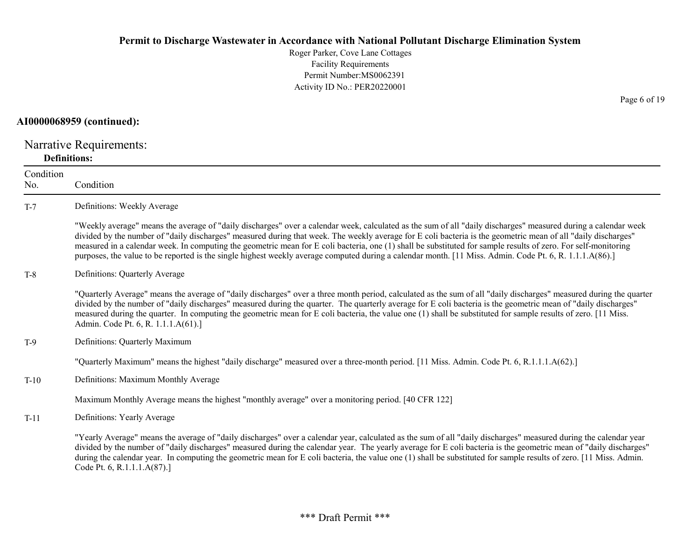# AI0000068959 (continued):

Narrative Requirements: Definitions:

| Condition |                                                                                                                                                                                                                                                                                                                                                                                                                                                                                                                                                                                                                                                              |
|-----------|--------------------------------------------------------------------------------------------------------------------------------------------------------------------------------------------------------------------------------------------------------------------------------------------------------------------------------------------------------------------------------------------------------------------------------------------------------------------------------------------------------------------------------------------------------------------------------------------------------------------------------------------------------------|
| No.       | Condition                                                                                                                                                                                                                                                                                                                                                                                                                                                                                                                                                                                                                                                    |
| $T-7$     | Definitions: Weekly Average                                                                                                                                                                                                                                                                                                                                                                                                                                                                                                                                                                                                                                  |
|           | "Weekly average" means the average of "daily discharges" over a calendar week, calculated as the sum of all "daily discharges" measured during a calendar week<br>divided by the number of "daily discharges" measured during that week. The weekly average for E coli bacteria is the geometric mean of all "daily discharges"<br>measured in a calendar week. In computing the geometric mean for E coli bacteria, one (1) shall be substituted for sample results of zero. For self-monitoring<br>purposes, the value to be reported is the single highest weekly average computed during a calendar month. [11 Miss. Admin. Code Pt. 6, R. 1.1.1.A(86).] |
| $T-8$     | Definitions: Quarterly Average                                                                                                                                                                                                                                                                                                                                                                                                                                                                                                                                                                                                                               |
|           | "Quarterly Average" means the average of "daily discharges" over a three month period, calculated as the sum of all "daily discharges" measured during the quarter<br>divided by the number of "daily discharges" measured during the quarter. The quarterly average for E coli bacteria is the geometric mean of "daily discharges"<br>measured during the quarter. In computing the geometric mean for E coli bacteria, the value one (1) shall be substituted for sample results of zero. [11 Miss.<br>Admin. Code Pt. 6, R. 1.1.1.A(61).]                                                                                                                |
| $T-9$     | Definitions: Quarterly Maximum                                                                                                                                                                                                                                                                                                                                                                                                                                                                                                                                                                                                                               |
|           | "Quarterly Maximum" means the highest "daily discharge" measured over a three-month period. [11 Miss. Admin. Code Pt. 6, R.1.1.1.A(62).]                                                                                                                                                                                                                                                                                                                                                                                                                                                                                                                     |
| $T-10$    | Definitions: Maximum Monthly Average                                                                                                                                                                                                                                                                                                                                                                                                                                                                                                                                                                                                                         |
|           | Maximum Monthly Average means the highest "monthly average" over a monitoring period. [40 CFR 122]                                                                                                                                                                                                                                                                                                                                                                                                                                                                                                                                                           |
| $T-11$    | Definitions: Yearly Average                                                                                                                                                                                                                                                                                                                                                                                                                                                                                                                                                                                                                                  |
|           | "Yearly Average" means the average of "daily discharges" over a calendar year, calculated as the sum of all "daily discharges" measured during the calendar year<br>divided by the number of "daily discharges" measured during the calendar year. The yearly average for E coli bacteria is the geometric mean of "daily discharges"<br>during the calendar year. In computing the geometric mean for E coli bacteria, the value one (1) shall be substituted for sample results of zero. [11 Miss. Admin.<br>Code Pt. 6, R.1.1.1.A(87).]                                                                                                                   |

Page 6 of 19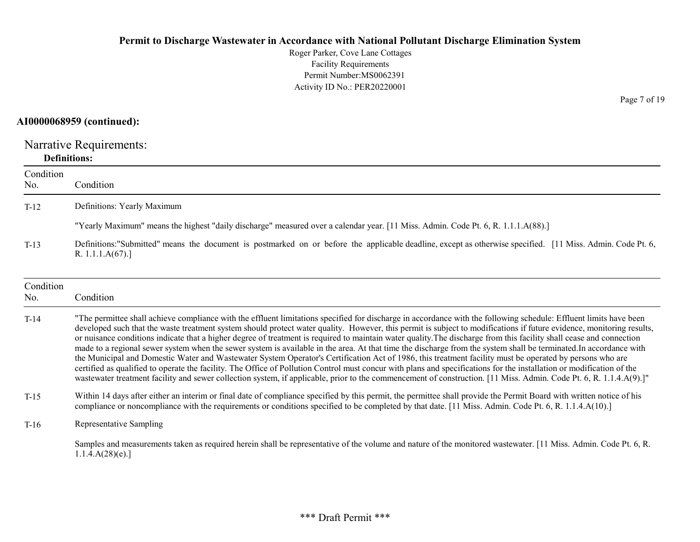# AI0000068959 (continued):

Narrative Requirements: Definitions:

| Condition<br>No. | Condition                                                                                                                                                                                                                                                                                                                                                                                                                                                                                                                                                                                                                                                                                                                                                                                                                                                                                                                                                                                                                                                                                                                                                                                            |
|------------------|------------------------------------------------------------------------------------------------------------------------------------------------------------------------------------------------------------------------------------------------------------------------------------------------------------------------------------------------------------------------------------------------------------------------------------------------------------------------------------------------------------------------------------------------------------------------------------------------------------------------------------------------------------------------------------------------------------------------------------------------------------------------------------------------------------------------------------------------------------------------------------------------------------------------------------------------------------------------------------------------------------------------------------------------------------------------------------------------------------------------------------------------------------------------------------------------------|
| $T-12$           | Definitions: Yearly Maximum                                                                                                                                                                                                                                                                                                                                                                                                                                                                                                                                                                                                                                                                                                                                                                                                                                                                                                                                                                                                                                                                                                                                                                          |
|                  | "Yearly Maximum" means the highest "daily discharge" measured over a calendar year. [11 Miss. Admin. Code Pt. 6, R. 1.1.1.A(88).]                                                                                                                                                                                                                                                                                                                                                                                                                                                                                                                                                                                                                                                                                                                                                                                                                                                                                                                                                                                                                                                                    |
| $T-13$           | Definitions: "Submitted" means the document is postmarked on or before the applicable deadline, except as otherwise specified. [11 Miss. Admin. Code Pt. 6,<br>R. $1.1.1.A(67).$                                                                                                                                                                                                                                                                                                                                                                                                                                                                                                                                                                                                                                                                                                                                                                                                                                                                                                                                                                                                                     |
| Condition<br>No. | Condition                                                                                                                                                                                                                                                                                                                                                                                                                                                                                                                                                                                                                                                                                                                                                                                                                                                                                                                                                                                                                                                                                                                                                                                            |
| $T-14$           | "The permittee shall achieve compliance with the effluent limitations specified for discharge in accordance with the following schedule: Effluent limits have been<br>developed such that the waste treatment system should protect water quality. However, this permit is subject to modifications if future evidence, monitoring results,<br>or nuisance conditions indicate that a higher degree of treatment is required to maintain water quality. The discharge from this facility shall cease and connection<br>made to a regional sewer system when the sewer system is available in the area. At that time the discharge from the system shall be terminated. In accordance with<br>the Municipal and Domestic Water and Wastewater System Operator's Certification Act of 1986, this treatment facility must be operated by persons who are<br>certified as qualified to operate the facility. The Office of Pollution Control must concur with plans and specifications for the installation or modification of the<br>wastewater treatment facility and sewer collection system, if applicable, prior to the commencement of construction. [11 Miss. Admin. Code Pt. 6, R. 1.1.4.A(9).]" |
| $T-15$           | Within 14 days after either an interim or final date of compliance specified by this permit, the permittee shall provide the Permit Board with written notice of his<br>compliance or noncompliance with the requirements or conditions specified to be completed by that date. [11 Miss. Admin. Code Pt. 6, R. 1.1.4.A(10).]                                                                                                                                                                                                                                                                                                                                                                                                                                                                                                                                                                                                                                                                                                                                                                                                                                                                        |
| $T-16$           | Representative Sampling                                                                                                                                                                                                                                                                                                                                                                                                                                                                                                                                                                                                                                                                                                                                                                                                                                                                                                                                                                                                                                                                                                                                                                              |
|                  | Samples and measurements taken as required herein shall be representative of the volume and nature of the monitored wastewater. [11 Miss. Admin. Code Pt. 6, R.<br>1.1.4.A(28)(e).                                                                                                                                                                                                                                                                                                                                                                                                                                                                                                                                                                                                                                                                                                                                                                                                                                                                                                                                                                                                                   |

Page 7 of 19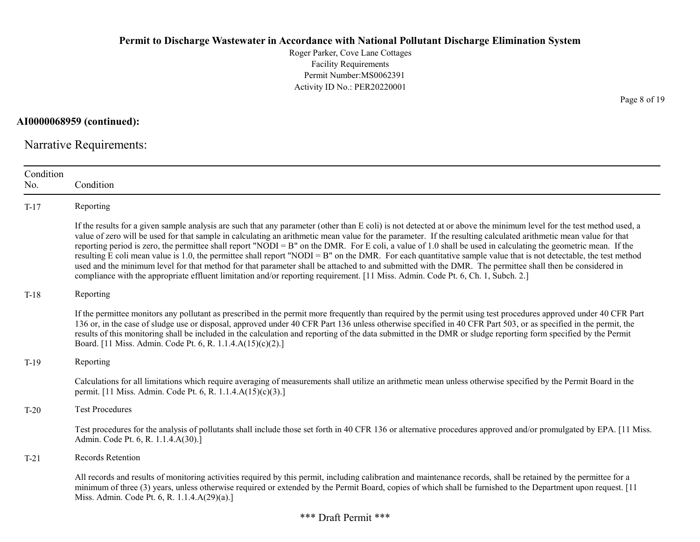Roger Parker, Cove Lane Cottages Facility Requirements Permit Number:MS0062391 Activity ID No.: PER20220001

AI0000068959 (continued):

Narrative Requirements:

| Condition<br>No. | Condition                                                                                                                                                                                                                                                                                                                                                                                                                                                                                                                                                                                                                                                                                                                                                                                                                                                                                                                                                                         |
|------------------|-----------------------------------------------------------------------------------------------------------------------------------------------------------------------------------------------------------------------------------------------------------------------------------------------------------------------------------------------------------------------------------------------------------------------------------------------------------------------------------------------------------------------------------------------------------------------------------------------------------------------------------------------------------------------------------------------------------------------------------------------------------------------------------------------------------------------------------------------------------------------------------------------------------------------------------------------------------------------------------|
| $T-17$           | Reporting                                                                                                                                                                                                                                                                                                                                                                                                                                                                                                                                                                                                                                                                                                                                                                                                                                                                                                                                                                         |
|                  | If the results for a given sample analysis are such that any parameter (other than E coli) is not detected at or above the minimum level for the test method used, a<br>value of zero will be used for that sample in calculating an arithmetic mean value for the parameter. If the resulting calculated arithmetic mean value for that<br>reporting period is zero, the permittee shall report "NODI = $B$ " on the DMR. For E coli, a value of 1.0 shall be used in calculating the geometric mean. If the<br>resulting E coli mean value is 1.0, the permittee shall report "NODI = B" on the DMR. For each quantitative sample value that is not detectable, the test method<br>used and the minimum level for that method for that parameter shall be attached to and submitted with the DMR. The permittee shall then be considered in<br>compliance with the appropriate effluent limitation and/or reporting requirement. [11 Miss. Admin. Code Pt. 6, Ch. 1, Subch. 2.] |
| $T-18$           | Reporting                                                                                                                                                                                                                                                                                                                                                                                                                                                                                                                                                                                                                                                                                                                                                                                                                                                                                                                                                                         |
|                  | If the permittee monitors any pollutant as prescribed in the permit more frequently than required by the permit using test procedures approved under 40 CFR Part<br>136 or, in the case of sludge use or disposal, approved under 40 CFR Part 136 unless otherwise specified in 40 CFR Part 503, or as specified in the permit, the<br>results of this monitoring shall be included in the calculation and reporting of the data submitted in the DMR or sludge reporting form specified by the Permit<br>Board. [11 Miss. Admin. Code Pt. 6, R. 1.1.4.A(15)(c)(2).]                                                                                                                                                                                                                                                                                                                                                                                                              |
| $T-19$           | Reporting                                                                                                                                                                                                                                                                                                                                                                                                                                                                                                                                                                                                                                                                                                                                                                                                                                                                                                                                                                         |
|                  | Calculations for all limitations which require averaging of measurements shall utilize an arithmetic mean unless otherwise specified by the Permit Board in the<br>permit. [11 Miss. Admin. Code Pt. 6, R. 1.1.4.A(15)(c)(3).]                                                                                                                                                                                                                                                                                                                                                                                                                                                                                                                                                                                                                                                                                                                                                    |
| $T-20$           | <b>Test Procedures</b>                                                                                                                                                                                                                                                                                                                                                                                                                                                                                                                                                                                                                                                                                                                                                                                                                                                                                                                                                            |
|                  | Test procedures for the analysis of pollutants shall include those set forth in 40 CFR 136 or alternative procedures approved and/or promulgated by EPA. [11 Miss.]<br>Admin. Code Pt. 6, R. 1.1.4.A(30).]                                                                                                                                                                                                                                                                                                                                                                                                                                                                                                                                                                                                                                                                                                                                                                        |
| $T-21$           | Records Retention                                                                                                                                                                                                                                                                                                                                                                                                                                                                                                                                                                                                                                                                                                                                                                                                                                                                                                                                                                 |
|                  | All records and results of monitoring activities required by this permit, including calibration and maintenance records, shall be retained by the permittee for a<br>minimum of three (3) years, unless otherwise required or extended by the Permit Board, copies of which shall be furnished to the Department upon request. [11]<br>Miss. Admin. Code Pt. 6, R. 1.1.4.A(29)(a).]                                                                                                                                                                                                                                                                                                                                                                                                                                                                                                                                                                                               |

Page 8 of 19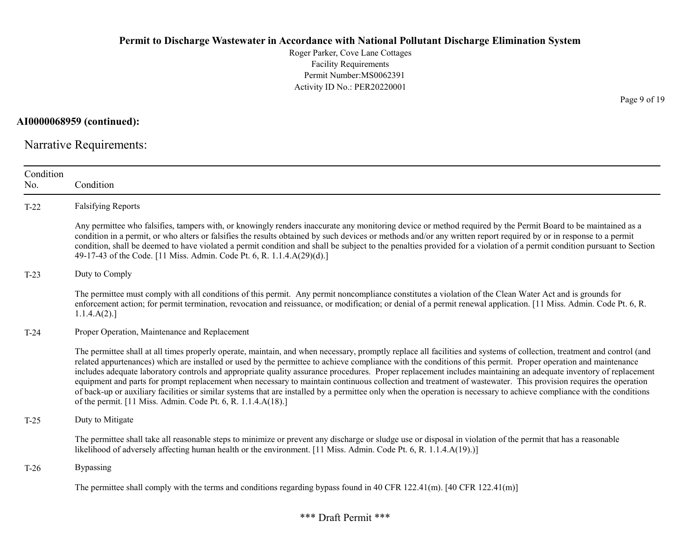Roger Parker, Cove Lane Cottages Facility Requirements Permit Number:MS0062391 Activity ID No.: PER20220001

AI0000068959 (continued):

Narrative Requirements:

| Condition<br>No. | Condition                                                                                                                                                                                                                                                                                                                                                                                                                                                                                                                                                                                                                                                                                                                                                                                                                                                                                                                |
|------------------|--------------------------------------------------------------------------------------------------------------------------------------------------------------------------------------------------------------------------------------------------------------------------------------------------------------------------------------------------------------------------------------------------------------------------------------------------------------------------------------------------------------------------------------------------------------------------------------------------------------------------------------------------------------------------------------------------------------------------------------------------------------------------------------------------------------------------------------------------------------------------------------------------------------------------|
| $T-22$           | <b>Falsifying Reports</b>                                                                                                                                                                                                                                                                                                                                                                                                                                                                                                                                                                                                                                                                                                                                                                                                                                                                                                |
|                  | Any permittee who falsifies, tampers with, or knowingly renders inaccurate any monitoring device or method required by the Permit Board to be maintained as a<br>condition in a permit, or who alters or falsifies the results obtained by such devices or methods and/or any written report required by or in response to a permit<br>condition, shall be deemed to have violated a permit condition and shall be subject to the penalties provided for a violation of a permit condition pursuant to Section<br>49-17-43 of the Code. [11 Miss. Admin. Code Pt. 6, R. 1.1.4.A(29)(d).]                                                                                                                                                                                                                                                                                                                                 |
| $T-23$           | Duty to Comply                                                                                                                                                                                                                                                                                                                                                                                                                                                                                                                                                                                                                                                                                                                                                                                                                                                                                                           |
|                  | The permittee must comply with all conditions of this permit. Any permit noncompliance constitutes a violation of the Clean Water Act and is grounds for<br>enforcement action; for permit termination, revocation and reissuance, or modification; or denial of a permit renewal application. [11 Miss. Admin. Code Pt. 6, R.<br>1.1.4.A(2).                                                                                                                                                                                                                                                                                                                                                                                                                                                                                                                                                                            |
| $T-24$           | Proper Operation, Maintenance and Replacement                                                                                                                                                                                                                                                                                                                                                                                                                                                                                                                                                                                                                                                                                                                                                                                                                                                                            |
|                  | The permittee shall at all times properly operate, maintain, and when necessary, promptly replace all facilities and systems of collection, treatment and control (and<br>related appurtenances) which are installed or used by the permittee to achieve compliance with the conditions of this permit. Proper operation and maintenance<br>includes adequate laboratory controls and appropriate quality assurance procedures. Proper replacement includes maintaining an adequate inventory of replacement<br>equipment and parts for prompt replacement when necessary to maintain continuous collection and treatment of wastewater. This provision requires the operation<br>of back-up or auxiliary facilities or similar systems that are installed by a permittee only when the operation is necessary to achieve compliance with the conditions<br>of the permit. [11 Miss. Admin. Code Pt. 6, R. 1.1.4.A(18).] |
| $T-25$           | Duty to Mitigate                                                                                                                                                                                                                                                                                                                                                                                                                                                                                                                                                                                                                                                                                                                                                                                                                                                                                                         |
|                  | The permittee shall take all reasonable steps to minimize or prevent any discharge or sludge use or disposal in violation of the permit that has a reasonable<br>likelihood of adversely affecting human health or the environment. [11 Miss. Admin. Code Pt. 6, R. 1.1.4.A(19).)]                                                                                                                                                                                                                                                                                                                                                                                                                                                                                                                                                                                                                                       |
| $T-26$           | Bypassing                                                                                                                                                                                                                                                                                                                                                                                                                                                                                                                                                                                                                                                                                                                                                                                                                                                                                                                |
|                  | The permittee shall comply with the terms and conditions regarding bypass found in 40 CFR 122.41(m). [40 CFR 122.41(m)]                                                                                                                                                                                                                                                                                                                                                                                                                                                                                                                                                                                                                                                                                                                                                                                                  |

Page 9 of 19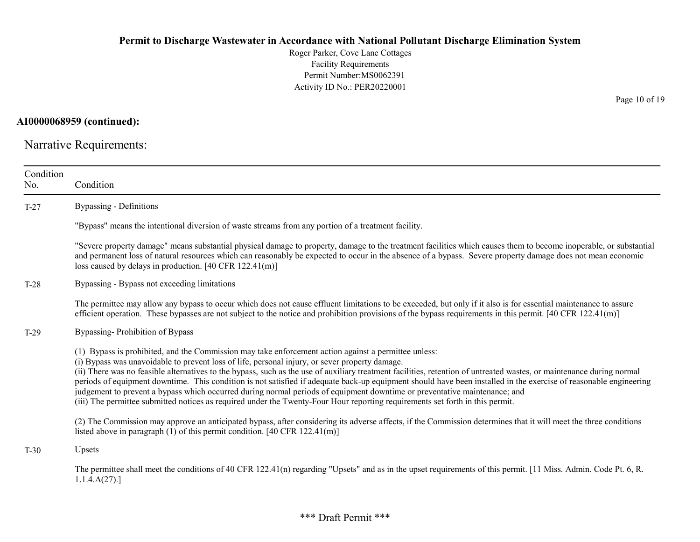Roger Parker, Cove Lane Cottages Facility Requirements Permit Number:MS0062391 Activity ID No.: PER20220001

AI0000068959 (continued):

Narrative Requirements:

| Condition<br>No. | Condition                                                                                                                                                                                                                                                                                                                                                                                                                                                                                                                                                                                                                                                                                                                                                                                                          |
|------------------|--------------------------------------------------------------------------------------------------------------------------------------------------------------------------------------------------------------------------------------------------------------------------------------------------------------------------------------------------------------------------------------------------------------------------------------------------------------------------------------------------------------------------------------------------------------------------------------------------------------------------------------------------------------------------------------------------------------------------------------------------------------------------------------------------------------------|
| $T-27$           | <b>Bypassing - Definitions</b>                                                                                                                                                                                                                                                                                                                                                                                                                                                                                                                                                                                                                                                                                                                                                                                     |
|                  | "Bypass" means the intentional diversion of waste streams from any portion of a treatment facility.                                                                                                                                                                                                                                                                                                                                                                                                                                                                                                                                                                                                                                                                                                                |
|                  | "Severe property damage" means substantial physical damage to property, damage to the treatment facilities which causes them to become inoperable, or substantial<br>and permanent loss of natural resources which can reasonably be expected to occur in the absence of a bypass. Severe property damage does not mean economic<br>loss caused by delays in production. [40 CFR $122.41(m)$ ]                                                                                                                                                                                                                                                                                                                                                                                                                     |
| $T-28$           | Bypassing - Bypass not exceeding limitations                                                                                                                                                                                                                                                                                                                                                                                                                                                                                                                                                                                                                                                                                                                                                                       |
|                  | The permittee may allow any bypass to occur which does not cause effluent limitations to be exceeded, but only if it also is for essential maintenance to assure<br>efficient operation. These bypasses are not subject to the notice and prohibition provisions of the bypass requirements in this permit. $[40 \text{ CFR } 122.41 \text{ (m)}]$                                                                                                                                                                                                                                                                                                                                                                                                                                                                 |
| $T-29$           | Bypassing-Prohibition of Bypass                                                                                                                                                                                                                                                                                                                                                                                                                                                                                                                                                                                                                                                                                                                                                                                    |
|                  | (1) Bypass is prohibited, and the Commission may take enforcement action against a permittee unless:<br>(i) Bypass was unavoidable to prevent loss of life, personal injury, or sever property damage.<br>(ii) There was no feasible alternatives to the bypass, such as the use of auxiliary treatment facilities, retention of untreated wastes, or maintenance during normal<br>periods of equipment downtime. This condition is not satisfied if adequate back-up equipment should have been installed in the exercise of reasonable engineering<br>judgement to prevent a bypass which occurred during normal periods of equipment downtime or preventative maintenance; and<br>(iii) The permittee submitted notices as required under the Twenty-Four Hour reporting requirements set forth in this permit. |
|                  | (2) The Commission may approve an anticipated bypass, after considering its adverse affects, if the Commission determines that it will meet the three conditions<br>listed above in paragraph (1) of this permit condition. [40 CFR $122.41(m)$ ]                                                                                                                                                                                                                                                                                                                                                                                                                                                                                                                                                                  |
| $T-30$           | Upsets                                                                                                                                                                                                                                                                                                                                                                                                                                                                                                                                                                                                                                                                                                                                                                                                             |
|                  | The permittee shall meet the conditions of 40 CFR 122.41(n) regarding "Upsets" and as in the upset requirements of this permit. [11 Miss. Admin. Code Pt. 6, R.<br>1.1.4.A(27).                                                                                                                                                                                                                                                                                                                                                                                                                                                                                                                                                                                                                                    |

Page 10 of 19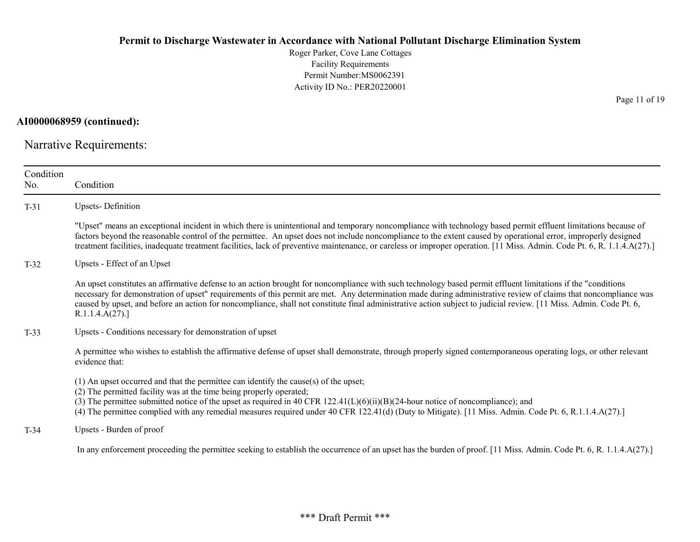Roger Parker, Cove Lane Cottages Facility Requirements Permit Number:MS0062391 Activity ID No.: PER20220001

AI0000068959 (continued):

Narrative Requirements:

| Condition<br>No. | Condition                                                                                                                                                                                                                                                                                                                                                                                                                                                                                                                |
|------------------|--------------------------------------------------------------------------------------------------------------------------------------------------------------------------------------------------------------------------------------------------------------------------------------------------------------------------------------------------------------------------------------------------------------------------------------------------------------------------------------------------------------------------|
| $T-31$           | <b>Upsets-Definition</b>                                                                                                                                                                                                                                                                                                                                                                                                                                                                                                 |
|                  | "Upset" means an exceptional incident in which there is unintentional and temporary noncompliance with technology based permit effluent limitations because of<br>factors beyond the reasonable control of the permittee. An upset does not include noncompliance to the extent caused by operational error, improperly designed<br>treatment facilities, inadequate treatment facilities, lack of preventive maintenance, or careless or improper operation. [11 Miss. Admin. Code Pt. 6, R. 1.1.4.A(27).]              |
| $T-32$           | Upsets - Effect of an Upset                                                                                                                                                                                                                                                                                                                                                                                                                                                                                              |
|                  | An upset constitutes an affirmative defense to an action brought for noncompliance with such technology based permit effluent limitations if the "conditions"<br>necessary for demonstration of upset" requirements of this permit are met. Any determination made during administrative review of claims that noncompliance was<br>caused by upset, and before an action for noncompliance, shall not constitute final administrative action subject to judicial review. [11 Miss. Admin. Code Pt. 6,<br>R.1.1.4.A(27). |
| $T-33$           | Upsets - Conditions necessary for demonstration of upset                                                                                                                                                                                                                                                                                                                                                                                                                                                                 |
|                  | A permittee who wishes to establish the affirmative defense of upset shall demonstrate, through properly signed contemporaneous operating logs, or other relevant<br>evidence that:                                                                                                                                                                                                                                                                                                                                      |
|                  | $(1)$ An upset occurred and that the permittee can identify the cause(s) of the upset;<br>(2) The permitted facility was at the time being properly operated;<br>(3) The permittee submitted notice of the upset as required in 40 CFR $122.41(L)(6)(ii)(B)(24$ -hour notice of noncompliance); and<br>(4) The permittee complied with any remedial measures required under 40 CFR 122.41(d) (Duty to Mitigate). [11 Miss. Admin. Code Pt. 6, R.1.1.4.A(27).]                                                            |
| $T-34$           | Upsets - Burden of proof                                                                                                                                                                                                                                                                                                                                                                                                                                                                                                 |
|                  | In any enforcement proceeding the permittee seeking to establish the occurrence of an upset has the burden of proof. [11 Miss. Admin. Code Pt. 6, R. 1.1.4.A(27).]                                                                                                                                                                                                                                                                                                                                                       |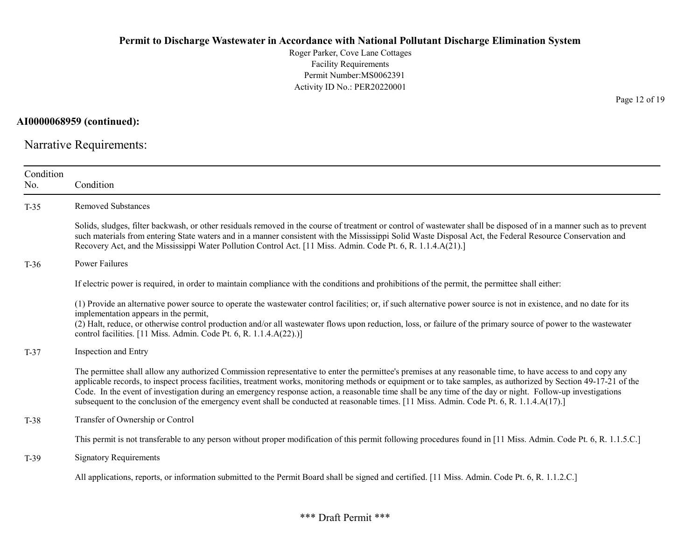Roger Parker, Cove Lane Cottages Facility Requirements Permit Number:MS0062391 Activity ID No.: PER20220001

AI0000068959 (continued):

Narrative Requirements:

| Condition<br>No. | Condition                                                                                                                                                                                                                                                                                                                                                                                                                                                                                                                                                                                                                                  |
|------------------|--------------------------------------------------------------------------------------------------------------------------------------------------------------------------------------------------------------------------------------------------------------------------------------------------------------------------------------------------------------------------------------------------------------------------------------------------------------------------------------------------------------------------------------------------------------------------------------------------------------------------------------------|
| $T-35$           | <b>Removed Substances</b>                                                                                                                                                                                                                                                                                                                                                                                                                                                                                                                                                                                                                  |
|                  | Solids, sludges, filter backwash, or other residuals removed in the course of treatment or control of wastewater shall be disposed of in a manner such as to prevent<br>such materials from entering State waters and in a manner consistent with the Mississippi Solid Waste Disposal Act, the Federal Resource Conservation and<br>Recovery Act, and the Mississippi Water Pollution Control Act. [11 Miss. Admin. Code Pt. 6, R. 1.1.4.A(21).]                                                                                                                                                                                          |
| $T-36$           | <b>Power Failures</b>                                                                                                                                                                                                                                                                                                                                                                                                                                                                                                                                                                                                                      |
|                  | If electric power is required, in order to maintain compliance with the conditions and prohibitions of the permit, the permittee shall either:                                                                                                                                                                                                                                                                                                                                                                                                                                                                                             |
|                  | (1) Provide an alternative power source to operate the wastewater control facilities; or, if such alternative power source is not in existence, and no date for its<br>implementation appears in the permit,<br>(2) Halt, reduce, or otherwise control production and/or all wastewater flows upon reduction, loss, or failure of the primary source of power to the wastewater<br>control facilities. [11 Miss. Admin. Code Pt. 6, R. 1.1.4.A(22).)]                                                                                                                                                                                      |
| $T-37$           | Inspection and Entry                                                                                                                                                                                                                                                                                                                                                                                                                                                                                                                                                                                                                       |
|                  | The permittee shall allow any authorized Commission representative to enter the permittee's premises at any reasonable time, to have access to and copy any<br>applicable records, to inspect process facilities, treatment works, monitoring methods or equipment or to take samples, as authorized by Section 49-17-21 of the<br>Code. In the event of investigation during an emergency response action, a reasonable time shall be any time of the day or night. Follow-up investigations<br>subsequent to the conclusion of the emergency event shall be conducted at reasonable times. [11 Miss. Admin. Code Pt. 6, R. 1.1.4.A(17).] |
| $T-38$           | Transfer of Ownership or Control                                                                                                                                                                                                                                                                                                                                                                                                                                                                                                                                                                                                           |
|                  | This permit is not transferable to any person without proper modification of this permit following procedures found in [11 Miss. Admin. Code Pt. 6, R. 1.1.5.C.]                                                                                                                                                                                                                                                                                                                                                                                                                                                                           |
| $T-39$           | <b>Signatory Requirements</b>                                                                                                                                                                                                                                                                                                                                                                                                                                                                                                                                                                                                              |
|                  | All applications, reports, or information submitted to the Permit Board shall be signed and certified. [11 Miss. Admin. Code Pt. 6, R. 1.1.2.C.]                                                                                                                                                                                                                                                                                                                                                                                                                                                                                           |

Page 12 of 19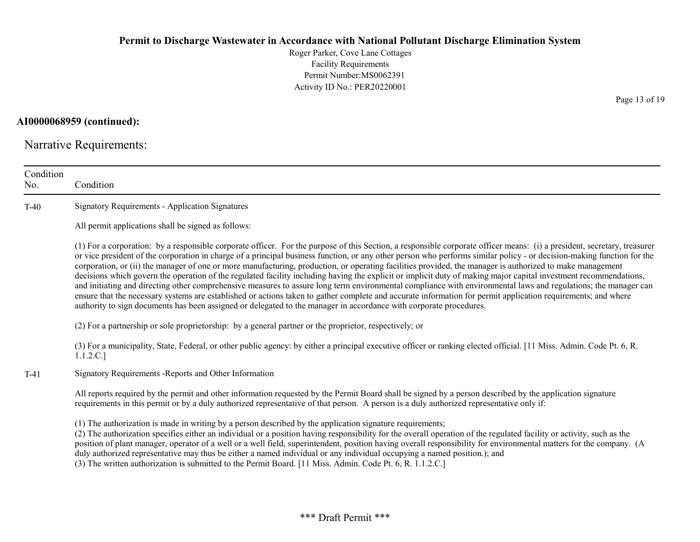Roger Parker, Cove Lane Cottages Facility Requirements Permit Number:MS0062391 Activity ID No.: PER20220001

AI0000068959 (continued):

Narrative Requirements:

| Condition<br>No. | Condition                                                                                                                                                                                                                                                                                                                                                                                                                                                                                                                                                                                                                                                                                                                                                                                                                                                                                                                                                                                                                                                                                                                                      |
|------------------|------------------------------------------------------------------------------------------------------------------------------------------------------------------------------------------------------------------------------------------------------------------------------------------------------------------------------------------------------------------------------------------------------------------------------------------------------------------------------------------------------------------------------------------------------------------------------------------------------------------------------------------------------------------------------------------------------------------------------------------------------------------------------------------------------------------------------------------------------------------------------------------------------------------------------------------------------------------------------------------------------------------------------------------------------------------------------------------------------------------------------------------------|
| $T-40$           | <b>Signatory Requirements - Application Signatures</b>                                                                                                                                                                                                                                                                                                                                                                                                                                                                                                                                                                                                                                                                                                                                                                                                                                                                                                                                                                                                                                                                                         |
|                  | All permit applications shall be signed as follows:                                                                                                                                                                                                                                                                                                                                                                                                                                                                                                                                                                                                                                                                                                                                                                                                                                                                                                                                                                                                                                                                                            |
|                  | (1) For a corporation: by a responsible corporate officer. For the purpose of this Section, a responsible corporate officer means: (i) a president, secretary, treasurer<br>or vice president of the corporation in charge of a principal business function, or any other person who performs similar policy - or decision-making function for the<br>corporation, or (ii) the manager of one or more manufacturing, production, or operating facilities provided, the manager is authorized to make management<br>decisions which govern the operation of the regulated facility including having the explicit or implicit duty of making major capital investment recommendations,<br>and initiating and directing other comprehensive measures to assure long term environmental compliance with environmental laws and regulations; the manager can<br>ensure that the necessary systems are established or actions taken to gather complete and accurate information for permit application requirements; and where<br>authority to sign documents has been assigned or delegated to the manager in accordance with corporate procedures. |
|                  | (2) For a partnership or sole proprietorship: by a general partner or the proprietor, respectively; or                                                                                                                                                                                                                                                                                                                                                                                                                                                                                                                                                                                                                                                                                                                                                                                                                                                                                                                                                                                                                                         |
|                  | (3) For a municipality, State, Federal, or other public agency: by either a principal executive officer or ranking elected official. [11 Miss. Admin. Code Pt. 6, R.<br>1.1.2.C.]                                                                                                                                                                                                                                                                                                                                                                                                                                                                                                                                                                                                                                                                                                                                                                                                                                                                                                                                                              |
| $T-41$           | Signatory Requirements - Reports and Other Information                                                                                                                                                                                                                                                                                                                                                                                                                                                                                                                                                                                                                                                                                                                                                                                                                                                                                                                                                                                                                                                                                         |
|                  | All reports required by the permit and other information requested by the Permit Board shall be signed by a person described by the application signature<br>requirements in this permit or by a duly authorized representative of that person. A person is a duly authorized representative only if:                                                                                                                                                                                                                                                                                                                                                                                                                                                                                                                                                                                                                                                                                                                                                                                                                                          |
|                  | (1) The authorization is made in writing by a person described by the application signature requirements;<br>(2) The authorization specifies either an individual or a position having responsibility for the overall operation of the regulated facility or activity, such as the<br>position of plant manager, operator of a well or a well field, superintendent, position having overall responsibility for environmental matters for the company. (A<br>duly authorized representative may thus be either a named individual or any individual occupying a named position.); and<br>(3) The written authorization is submitted to the Permit Board. [11 Miss. Admin. Code Pt. 6, R. 1.1.2.C.]                                                                                                                                                                                                                                                                                                                                                                                                                                             |

Page 13 of 19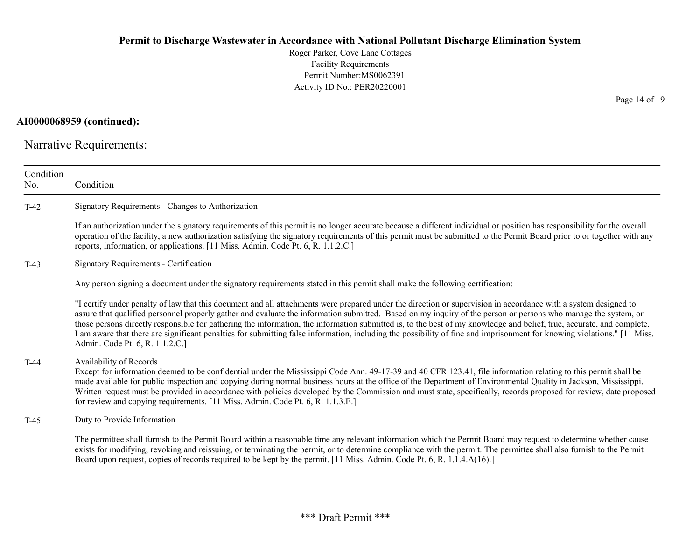Roger Parker, Cove Lane Cottages Facility Requirements Permit Number:MS0062391 Activity ID No.: PER20220001

# AI0000068959 (continued):

Narrative Requirements:

| Condition<br>No. | Condition                                                                                                                                                                                                                                                                                                                                                                                                                                                                                                                                                                                                                                                                                                                |
|------------------|--------------------------------------------------------------------------------------------------------------------------------------------------------------------------------------------------------------------------------------------------------------------------------------------------------------------------------------------------------------------------------------------------------------------------------------------------------------------------------------------------------------------------------------------------------------------------------------------------------------------------------------------------------------------------------------------------------------------------|
| $T-42$           | Signatory Requirements - Changes to Authorization                                                                                                                                                                                                                                                                                                                                                                                                                                                                                                                                                                                                                                                                        |
|                  | If an authorization under the signatory requirements of this permit is no longer accurate because a different individual or position has responsibility for the overall<br>operation of the facility, a new authorization satisfying the signatory requirements of this permit must be submitted to the Permit Board prior to or together with any<br>reports, information, or applications. [11 Miss. Admin. Code Pt. 6, R. 1.1.2.C.]                                                                                                                                                                                                                                                                                   |
| $T-43$           | Signatory Requirements - Certification                                                                                                                                                                                                                                                                                                                                                                                                                                                                                                                                                                                                                                                                                   |
|                  | Any person signing a document under the signatory requirements stated in this permit shall make the following certification:                                                                                                                                                                                                                                                                                                                                                                                                                                                                                                                                                                                             |
|                  | "I certify under penalty of law that this document and all attachments were prepared under the direction or supervision in accordance with a system designed to<br>assure that qualified personnel properly gather and evaluate the information submitted. Based on my inquiry of the person or persons who manage the system, or<br>those persons directly responsible for gathering the information, the information submitted is, to the best of my knowledge and belief, true, accurate, and complete.<br>I am aware that there are significant penalties for submitting false information, including the possibility of fine and imprisonment for knowing violations." [11 Miss.<br>Admin. Code Pt. 6, R. 1.1.2.C.] |
| $T-44$           | Availability of Records<br>Except for information deemed to be confidential under the Mississippi Code Ann. 49-17-39 and 40 CFR 123.41, file information relating to this permit shall be<br>made available for public inspection and copying during normal business hours at the office of the Department of Environmental Quality in Jackson, Mississippi.<br>Written request must be provided in accordance with policies developed by the Commission and must state, specifically, records proposed for review, date proposed<br>for review and copying requirements. [11 Miss. Admin. Code Pt. 6, R. 1.1.3.E.]                                                                                                      |
| $T-45$           | Duty to Provide Information                                                                                                                                                                                                                                                                                                                                                                                                                                                                                                                                                                                                                                                                                              |
|                  | The permittee shall furnish to the Permit Board within a reasonable time any relevant information which the Permit Board may request to determine whether cause<br>exists for modifying, revoking and reissuing, or terminating the permit, or to determine compliance with the permit. The permittee shall also furnish to the Permit<br>Board upon request, copies of records required to be kept by the permit. [11 Miss. Admin. Code Pt. 6, R. 1.1.4.A(16).]                                                                                                                                                                                                                                                         |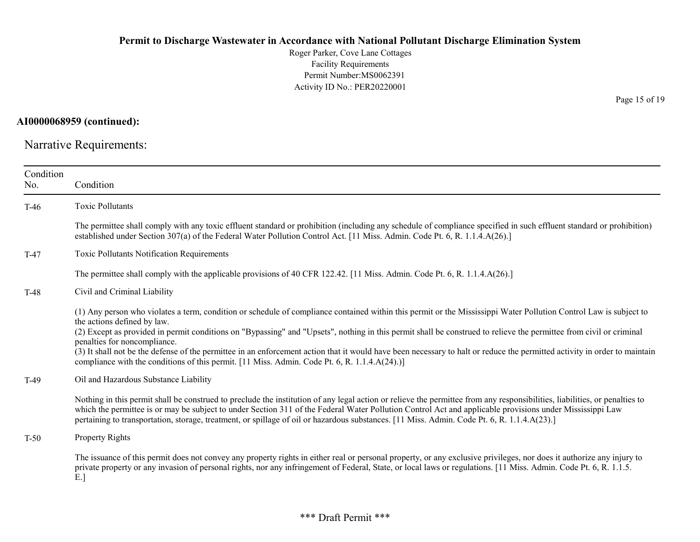Roger Parker, Cove Lane Cottages Facility Requirements Permit Number:MS0062391 Activity ID No.: PER20220001

AI0000068959 (continued):

Narrative Requirements:

| Condition<br>No. | Condition                                                                                                                                                                                                                                                                                                                                                                                                                                                                                                                                                                                                                                                                            |
|------------------|--------------------------------------------------------------------------------------------------------------------------------------------------------------------------------------------------------------------------------------------------------------------------------------------------------------------------------------------------------------------------------------------------------------------------------------------------------------------------------------------------------------------------------------------------------------------------------------------------------------------------------------------------------------------------------------|
| $T-46$           | <b>Toxic Pollutants</b>                                                                                                                                                                                                                                                                                                                                                                                                                                                                                                                                                                                                                                                              |
|                  | The permittee shall comply with any toxic effluent standard or prohibition (including any schedule of compliance specified in such effluent standard or prohibition)<br>established under Section 307(a) of the Federal Water Pollution Control Act. [11 Miss. Admin. Code Pt. 6, R. 1.1.4.A(26).]                                                                                                                                                                                                                                                                                                                                                                                   |
| $T-47$           | Toxic Pollutants Notification Requirements                                                                                                                                                                                                                                                                                                                                                                                                                                                                                                                                                                                                                                           |
|                  | The permittee shall comply with the applicable provisions of 40 CFR 122.42. [11 Miss. Admin. Code Pt. 6, R. 1.1.4.A(26).]                                                                                                                                                                                                                                                                                                                                                                                                                                                                                                                                                            |
| $T-48$           | Civil and Criminal Liability                                                                                                                                                                                                                                                                                                                                                                                                                                                                                                                                                                                                                                                         |
|                  | (1) Any person who violates a term, condition or schedule of compliance contained within this permit or the Mississippi Water Pollution Control Law is subject to<br>the actions defined by law.<br>(2) Except as provided in permit conditions on "Bypassing" and "Upsets", nothing in this permit shall be construed to relieve the permittee from civil or criminal<br>penalties for noncompliance.<br>(3) It shall not be the defense of the permittee in an enforcement action that it would have been necessary to halt or reduce the permitted activity in order to maintain<br>compliance with the conditions of this permit. [11 Miss. Admin. Code Pt. 6, R. 1.1.4.A(24).)] |
| $T-49$           | Oil and Hazardous Substance Liability                                                                                                                                                                                                                                                                                                                                                                                                                                                                                                                                                                                                                                                |
|                  | Nothing in this permit shall be construed to preclude the institution of any legal action or relieve the permittee from any responsibilities, liabilities, or penalties to<br>which the permittee is or may be subject to under Section 311 of the Federal Water Pollution Control Act and applicable provisions under Mississippi Law<br>pertaining to transportation, storage, treatment, or spillage of oil or hazardous substances. [11 Miss. Admin. Code Pt. 6, R. 1.1.4.A(23).]                                                                                                                                                                                                |
| $T-50$           | Property Rights                                                                                                                                                                                                                                                                                                                                                                                                                                                                                                                                                                                                                                                                      |
|                  | The issuance of this permit does not convey any property rights in either real or personal property, or any exclusive privileges, nor does it authorize any injury to<br>private property or any invasion of personal rights, nor any infringement of Federal, State, or local laws or regulations. [11 Miss. Admin. Code Pt. 6, R. 1.1.5.<br>$E.$ ]                                                                                                                                                                                                                                                                                                                                 |

Page 15 of 19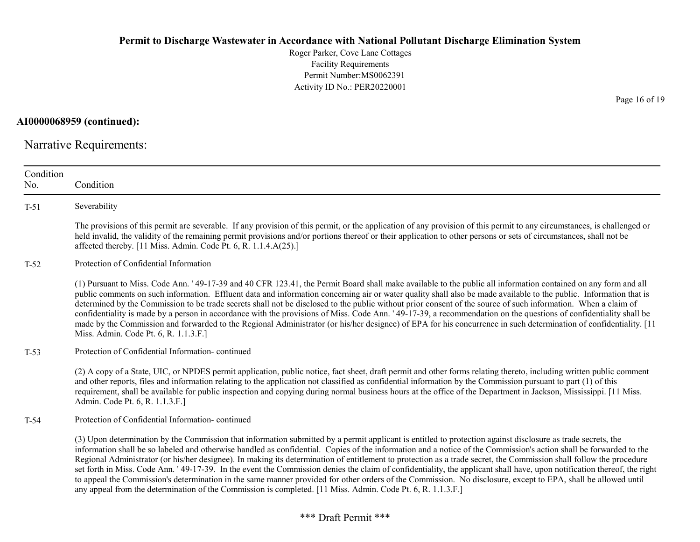AI0000068959 (continued):

Narrative Requirements:

| Condition<br>No. | Condition                                                                                                                                                                                                                                                                                                                                                                                                                                                                                                                                                                                                                                                                                                                                                                                                                                                                                                                                                            |
|------------------|----------------------------------------------------------------------------------------------------------------------------------------------------------------------------------------------------------------------------------------------------------------------------------------------------------------------------------------------------------------------------------------------------------------------------------------------------------------------------------------------------------------------------------------------------------------------------------------------------------------------------------------------------------------------------------------------------------------------------------------------------------------------------------------------------------------------------------------------------------------------------------------------------------------------------------------------------------------------|
| $T-51$           | Severability                                                                                                                                                                                                                                                                                                                                                                                                                                                                                                                                                                                                                                                                                                                                                                                                                                                                                                                                                         |
|                  | The provisions of this permit are severable. If any provision of this permit, or the application of any provision of this permit to any circumstances, is challenged or<br>held invalid, the validity of the remaining permit provisions and/or portions thereof or their application to other persons or sets of circumstances, shall not be<br>affected thereby. [11 Miss. Admin. Code Pt. 6, R. 1.1.4.A(25).]                                                                                                                                                                                                                                                                                                                                                                                                                                                                                                                                                     |
| $T-52$           | Protection of Confidential Information                                                                                                                                                                                                                                                                                                                                                                                                                                                                                                                                                                                                                                                                                                                                                                                                                                                                                                                               |
|                  | (1) Pursuant to Miss. Code Ann. '49-17-39 and 40 CFR 123.41, the Permit Board shall make available to the public all information contained on any form and all<br>public comments on such information. Effluent data and information concerning air or water quality shall also be made available to the public. Information that is<br>determined by the Commission to be trade secrets shall not be disclosed to the public without prior consent of the source of such information. When a claim of<br>confidentiality is made by a person in accordance with the provisions of Miss. Code Ann. '49-17-39, a recommendation on the questions of confidentiality shall be<br>made by the Commission and forwarded to the Regional Administrator (or his/her designee) of EPA for his concurrence in such determination of confidentiality. [11]<br>Miss. Admin. Code Pt. 6, R. 1.1.3.F.]                                                                           |
| $T-53$           | Protection of Confidential Information-continued                                                                                                                                                                                                                                                                                                                                                                                                                                                                                                                                                                                                                                                                                                                                                                                                                                                                                                                     |
|                  | (2) A copy of a State, UIC, or NPDES permit application, public notice, fact sheet, draft permit and other forms relating thereto, including written public comment<br>and other reports, files and information relating to the application not classified as confidential information by the Commission pursuant to part (1) of this<br>requirement, shall be available for public inspection and copying during normal business hours at the office of the Department in Jackson, Mississippi. [11 Miss.<br>Admin. Code Pt. 6, R. 1.1.3.F.]                                                                                                                                                                                                                                                                                                                                                                                                                        |
| T-54             | Protection of Confidential Information-continued                                                                                                                                                                                                                                                                                                                                                                                                                                                                                                                                                                                                                                                                                                                                                                                                                                                                                                                     |
|                  | (3) Upon determination by the Commission that information submitted by a permit applicant is entitled to protection against disclosure as trade secrets, the<br>information shall be so labeled and otherwise handled as confidential. Copies of the information and a notice of the Commission's action shall be forwarded to the<br>Regional Administrator (or his/her designee). In making its determination of entitlement to protection as a trade secret, the Commission shall follow the procedure<br>set forth in Miss. Code Ann. '49-17-39. In the event the Commission denies the claim of confidentiality, the applicant shall have, upon notification thereof, the right<br>to appeal the Commission's determination in the same manner provided for other orders of the Commission. No disclosure, except to EPA, shall be allowed until<br>any appeal from the determination of the Commission is completed. [11 Miss. Admin. Code Pt. 6, R. 1.1.3.F.] |

Page 16 of 19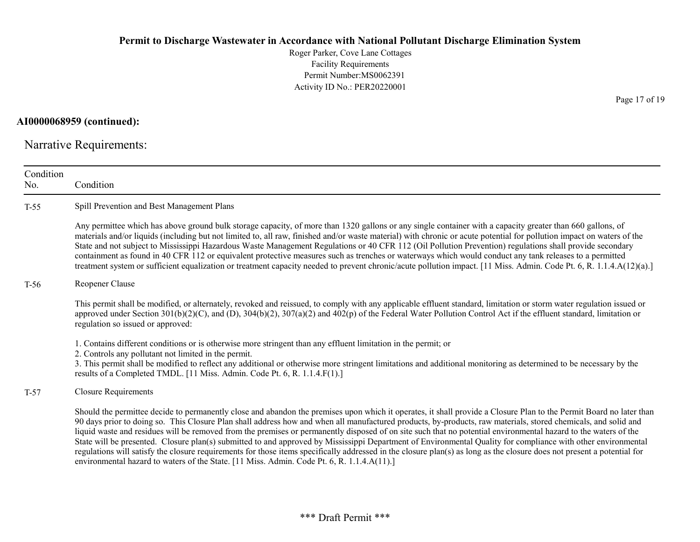Roger Parker, Cove Lane Cottages Facility Requirements Permit Number:MS0062391 Activity ID No.: PER20220001

AI0000068959 (continued):

Narrative Requirements:

| Condition<br>No. | Condition                                                                                                                                                                                                                                                                                                                                                                                                                                                                                                                                                                                                                                                                                                                                                                                                                                                                                                                                          |
|------------------|----------------------------------------------------------------------------------------------------------------------------------------------------------------------------------------------------------------------------------------------------------------------------------------------------------------------------------------------------------------------------------------------------------------------------------------------------------------------------------------------------------------------------------------------------------------------------------------------------------------------------------------------------------------------------------------------------------------------------------------------------------------------------------------------------------------------------------------------------------------------------------------------------------------------------------------------------|
| $T-55$           | Spill Prevention and Best Management Plans                                                                                                                                                                                                                                                                                                                                                                                                                                                                                                                                                                                                                                                                                                                                                                                                                                                                                                         |
|                  | Any permittee which has above ground bulk storage capacity, of more than 1320 gallons or any single container with a capacity greater than 660 gallons, of<br>materials and/or liquids (including but not limited to, all raw, finished and/or waste material) with chronic or acute potential for pollution impact on waters of the<br>State and not subject to Mississippi Hazardous Waste Management Regulations or 40 CFR 112 (Oil Pollution Prevention) regulations shall provide secondary<br>containment as found in 40 CFR 112 or equivalent protective measures such as trenches or waterways which would conduct any tank releases to a permitted<br>treatment system or sufficient equalization or treatment capacity needed to prevent chronic/acute pollution impact. [11 Miss. Admin. Code Pt. 6, R. 1.1.4.A(12)(a).]                                                                                                                |
| $T-56$           | Reopener Clause                                                                                                                                                                                                                                                                                                                                                                                                                                                                                                                                                                                                                                                                                                                                                                                                                                                                                                                                    |
|                  | This permit shall be modified, or alternately, revoked and reissued, to comply with any applicable effluent standard, limitation or storm water regulation issued or<br>approved under Section $301(b)(2)(C)$ , and (D), $304(b)(2)$ , $307(a)(2)$ and $402(p)$ of the Federal Water Pollution Control Act if the effluent standard, limitation or<br>regulation so issued or approved:                                                                                                                                                                                                                                                                                                                                                                                                                                                                                                                                                            |
|                  | 1. Contains different conditions or is otherwise more stringent than any effluent limitation in the permit; or<br>2. Controls any pollutant not limited in the permit.<br>3. This permit shall be modified to reflect any additional or otherwise more stringent limitations and additional monitoring as determined to be necessary by the<br>results of a Completed TMDL. [11 Miss. Admin. Code Pt. 6, R. 1.1.4.F(1).]                                                                                                                                                                                                                                                                                                                                                                                                                                                                                                                           |
| $T-57$           | <b>Closure Requirements</b>                                                                                                                                                                                                                                                                                                                                                                                                                                                                                                                                                                                                                                                                                                                                                                                                                                                                                                                        |
|                  | Should the permittee decide to permanently close and abandon the premises upon which it operates, it shall provide a Closure Plan to the Permit Board no later than<br>90 days prior to doing so. This Closure Plan shall address how and when all manufactured products, by-products, raw materials, stored chemicals, and solid and<br>liquid waste and residues will be removed from the premises or permanently disposed of on site such that no potential environmental hazard to the waters of the<br>State will be presented. Closure plan(s) submitted to and approved by Mississippi Department of Environmental Quality for compliance with other environmental<br>regulations will satisfy the closure requirements for those items specifically addressed in the closure plan(s) as long as the closure does not present a potential for<br>environmental hazard to waters of the State. [11 Miss. Admin. Code Pt. 6, R. 1.1.4.A(11).] |

Page 17 of 19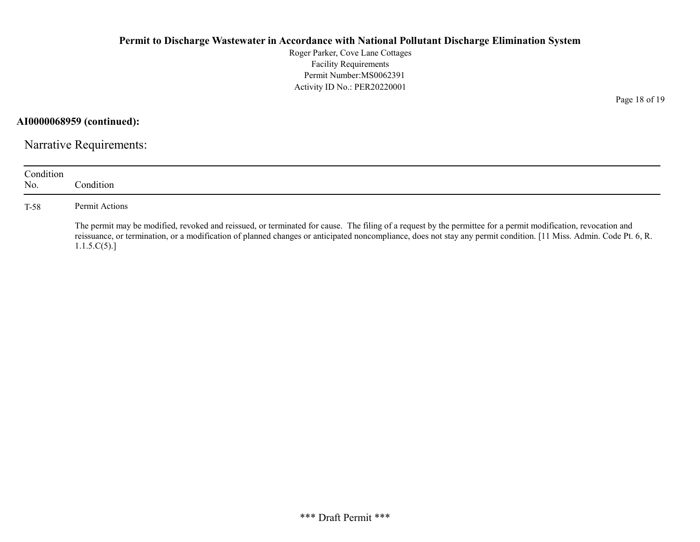Roger Parker, Cove Lane Cottages Facility Requirements Permit Number:MS0062391 Activity ID No.: PER20220001

AI0000068959 (continued):

Narrative Requirements:

| Condition<br>No. | Condition                                                                                                                                                                                                                                                                                                                                          |
|------------------|----------------------------------------------------------------------------------------------------------------------------------------------------------------------------------------------------------------------------------------------------------------------------------------------------------------------------------------------------|
| T-58             | Permit Actions                                                                                                                                                                                                                                                                                                                                     |
|                  | The permit may be modified, revoked and reissued, or terminated for cause. The filing of a request by the permittee for a permit modification, revocation and<br>reissuance, or termination, or a modification of planned changes or anticipated noncompliance, does not stay any permit condition. [11 Miss. Admin. Code Pt. 6, R.<br>1.1.5.C(5). |

Page 18 of 19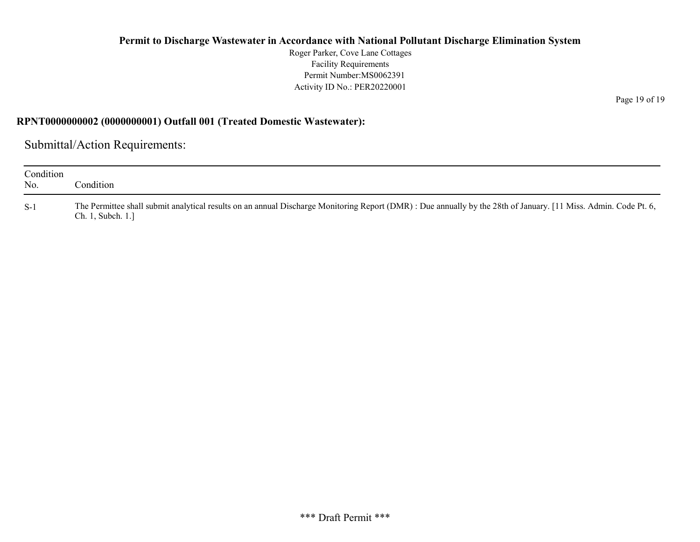Roger Parker, Cove Lane Cottages Facility Requirements Permit Number:MS0062391 Activity ID No.: PER20220001

RPNT0000000002 (0000000001) Outfall 001 (Treated Domestic Wastewater):

Submittal/Action Requirements:

| Condition<br>No. | Condition                                                                                                                                                                             |
|------------------|---------------------------------------------------------------------------------------------------------------------------------------------------------------------------------------|
| $S-1$            | The Permittee shall submit analytical results on an annual Discharge Monitoring Report (DMR) : Due annually by the 28th of January. [11 Miss. Admin. Code Pt. 6,<br>Ch. 1, Subch. 1.] |

Page 19 of 19